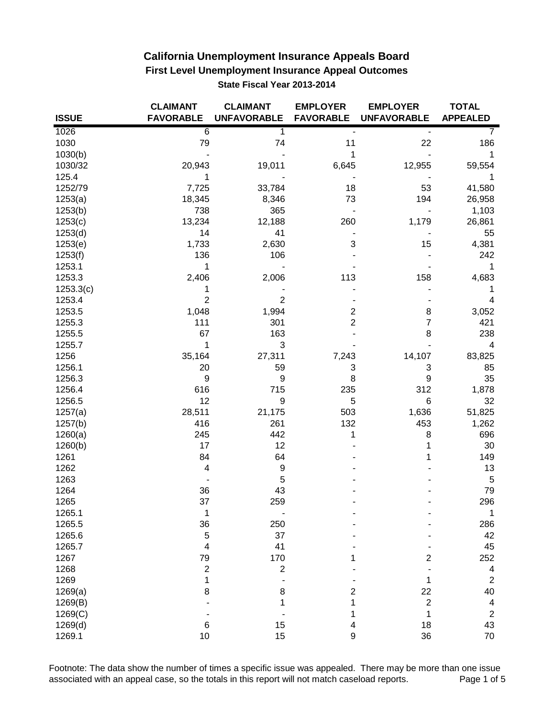|              | <b>CLAIMANT</b>         | <b>CLAIMANT</b>    | <b>EMPLOYER</b>  | <b>EMPLOYER</b>    | <b>TOTAL</b>             |
|--------------|-------------------------|--------------------|------------------|--------------------|--------------------------|
| <b>ISSUE</b> | <b>FAVORABLE</b>        | <b>UNFAVORABLE</b> | <b>FAVORABLE</b> | <b>UNFAVORABLE</b> | <b>APPEALED</b>          |
| 1026         | $\overline{6}$          | 1                  |                  |                    |                          |
| 1030         | 79                      | 74                 | 11               | 22                 | 186                      |
| 1030(b)      |                         |                    | 1                |                    | 1                        |
| 1030/32      | 20,943                  | 19,011             | 6,645            | 12,955             | 59,554                   |
| 125.4        | 1                       |                    |                  |                    | 1                        |
| 1252/79      | 7,725                   | 33,784             | 18               | 53                 | 41,580                   |
| 1253(a)      | 18,345                  | 8,346              | 73               | 194                | 26,958                   |
| 1253(b)      | 738                     | 365                |                  |                    | 1,103                    |
| 1253(c)      | 13,234                  | 12,188             | 260              | 1,179              | 26,861                   |
| 1253(d)      | 14                      | 41                 |                  |                    | 55                       |
| 1253(e)      | 1,733                   | 2,630              | 3                | 15                 | 4,381                    |
| 1253(f)      | 136                     | 106                |                  |                    | 242                      |
| 1253.1       | 1                       |                    |                  |                    | 1                        |
| 1253.3       | 2,406                   | 2,006              | 113              | 158                | 4,683                    |
| 1253.3(c)    | 1                       |                    |                  |                    | 1                        |
| 1253.4       | 2                       | $\overline{2}$     |                  |                    | 4                        |
| 1253.5       | 1,048                   | 1,994              | 2                | 8                  | 3,052                    |
| 1255.3       | 111                     | 301                | 2                | 7                  | 421                      |
| 1255.5       | 67                      | 163                |                  | 8                  | 238                      |
| 1255.7       | 1                       | 3                  |                  |                    | 4                        |
| 1256         | 35,164                  | 27,311             | 7,243            | 14,107             | 83,825                   |
| 1256.1       | 20                      | 59                 | 3                | 3                  | 85                       |
| 1256.3       | 9                       | 9                  | 8                | 9                  | 35                       |
| 1256.4       | 616                     | 715                | 235              | 312                | 1,878                    |
| 1256.5       | 12                      | 9                  | 5                | 6                  | 32                       |
| 1257(a)      | 28,511                  | 21,175             | 503              | 1,636              | 51,825                   |
| 1257(b)      | 416                     | 261                | 132              | 453                | 1,262                    |
| 1260(a)      | 245                     | 442                | 1                | 8                  | 696                      |
| 1260(b)      | 17                      | 12                 |                  | 1                  | 30                       |
| 1261         | 84                      | 64                 |                  | 1                  | 149                      |
| 1262         | 4                       | 9                  |                  |                    | 13                       |
| 1263         |                         | 5                  |                  |                    | $\,$ 5 $\,$              |
| 1264         | 36                      | 43                 |                  |                    | 79                       |
| 1265         | 37                      | 259                |                  |                    | 296                      |
| 1265.1       | 1                       |                    |                  |                    | 1                        |
| 1265.5       | 36                      | 250                |                  |                    | 286                      |
| 1265.6       | 5                       | 37                 |                  |                    | 42                       |
| 1265.7       | $\overline{\mathbf{4}}$ | 41                 |                  |                    | 45                       |
| 1267         | 79                      | 170                |                  | 2                  | 252                      |
| 1268         | $\overline{2}$          | $\overline{2}$     |                  |                    | $\overline{\mathcal{A}}$ |
| 1269         | 1                       |                    |                  | 1                  | $\overline{2}$           |
| 1269(a)      | 8                       | 8                  | 2                | 22                 | 40                       |
| 1269(B)      |                         |                    |                  | $\overline{c}$     | 4                        |
| 1269(C)      |                         |                    |                  | 1                  | $\overline{c}$           |
| 1269(d)      | 6                       | 15                 | 4                | 18                 | 43                       |
| 1269.1       | 10                      | 15                 | $\boldsymbol{9}$ | 36                 | 70                       |

Footnote: The data show the number of times a specific issue was appealed. There may be more than one issue associated with an appeal case, so the totals in this report will not match caseload reports. Page 1 of 5 associated with an appeal case, so the totals in this report will not match caseload reports.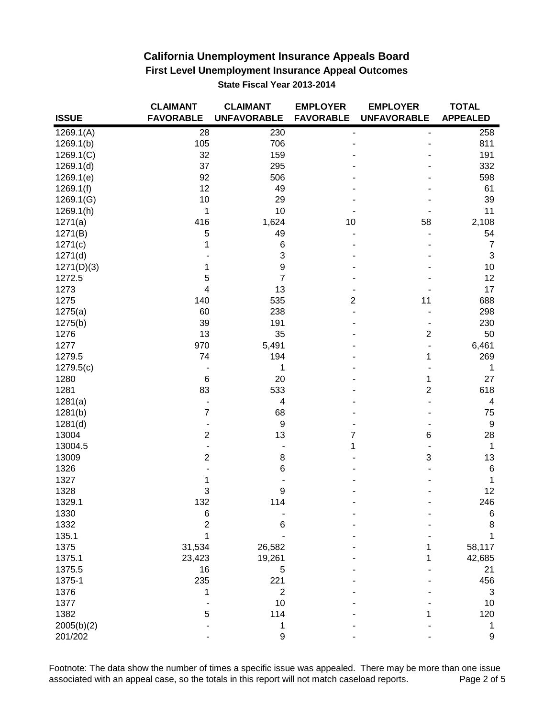|              | <b>CLAIMANT</b>          | <b>CLAIMANT</b>    | <b>EMPLOYER</b>  | <b>EMPLOYER</b>          | <b>TOTAL</b>     |
|--------------|--------------------------|--------------------|------------------|--------------------------|------------------|
| <b>ISSUE</b> | <b>FAVORABLE</b>         | <b>UNFAVORABLE</b> | <b>FAVORABLE</b> | <b>UNFAVORABLE</b>       | <b>APPEALED</b>  |
| 1269.1(A)    | 28                       | 230                |                  | $\overline{\phantom{a}}$ | 258              |
| 1269.1(b)    | 105                      | 706                |                  |                          | 811              |
| 1269.1(C)    | 32                       | 159                |                  |                          | 191              |
| 1269.1(d)    | 37                       | 295                |                  |                          | 332              |
| 1269.1(e)    | 92                       | 506                |                  |                          | 598              |
| 1269.1(f)    | 12                       | 49                 |                  |                          | 61               |
| 1269.1(G)    | 10                       | 29                 |                  |                          | 39               |
| 1269.1(h)    | 1                        | 10                 |                  |                          | 11               |
| 1271(a)      | 416                      | 1,624              | 10               | 58                       | 2,108            |
| 1271(B)      | 5                        | 49                 |                  |                          | 54               |
| 1271(c)      | 1                        | 6                  |                  |                          | $\overline{7}$   |
| 1271(d)      |                          | 3                  |                  |                          | $\sqrt{3}$       |
| 1271(D)(3)   | 1                        | $\boldsymbol{9}$   |                  |                          | $10$             |
| 1272.5       | 5                        | $\overline{7}$     |                  |                          | 12               |
| 1273         | $\overline{\mathbf{4}}$  | 13                 |                  |                          | 17               |
| 1275         | 140                      | 535                | 2                | 11                       | 688              |
| 1275(a)      | 60                       | 238                |                  |                          | 298              |
| 1275(b)      | 39                       | 191                |                  |                          | 230              |
| 1276         | 13                       | 35                 |                  | $\overline{c}$           | 50               |
| 1277         | 970                      | 5,491              |                  |                          | 6,461            |
| 1279.5       | 74                       | 194                |                  | 1                        | 269              |
| 1279.5(c)    |                          | 1                  |                  |                          | 1                |
| 1280         | $\,6\,$                  | 20                 |                  | 1                        | 27               |
| 1281         | 83                       | 533                |                  | $\overline{2}$           | 618              |
| 1281(a)      | $\blacksquare$           | 4                  |                  |                          | 4                |
| 1281(b)      | $\overline{7}$           | 68                 |                  |                          | 75               |
| 1281(d)      | $\blacksquare$           | $\boldsymbol{9}$   |                  |                          | $\boldsymbol{9}$ |
| 13004        | $\boldsymbol{2}$         | 13                 | 7                | 6                        | 28               |
| 13004.5      | $\overline{\phantom{a}}$ |                    | 1                | $\blacksquare$           | $\mathbf{1}$     |
| 13009        | $\overline{c}$           | 8                  |                  | 3                        | 13               |
| 1326         |                          | 6                  |                  |                          | $\,6\,$          |
| 1327         | 1                        |                    |                  |                          | 1                |
| 1328         | 3                        | 9                  |                  |                          | 12               |
| 1329.1       | 132                      | 114                |                  |                          | 246              |
| 1330         | 6                        |                    |                  |                          | 6                |
| 1332         | 2                        | 6                  |                  |                          | 8                |
| 135.1        | 1                        |                    |                  |                          | 1                |
| 1375         | 31,534                   | 26,582             |                  | 1                        | 58,117           |
| 1375.1       | 23,423                   | 19,261             |                  | 1                        | 42,685           |
| 1375.5       | 16                       | 5                  |                  |                          | 21               |
| 1375-1       | 235                      | 221                |                  |                          | 456              |
| 1376         | 1                        | $\overline{2}$     |                  |                          | 3                |
| 1377         |                          | 10                 |                  |                          | 10               |
| 1382         | 5                        | 114                |                  |                          | 120              |
| 2005(b)(2)   |                          | 1                  |                  |                          | 1                |
| 201/202      |                          | $\boldsymbol{9}$   |                  |                          | 9                |

Footnote: The data show the number of times a specific issue was appealed. There may be more than one issue associated with an appeal case, so the totals in this report will not match caseload reports. Page 2 of 5 associated with an appeal case, so the totals in this report will not match caseload reports.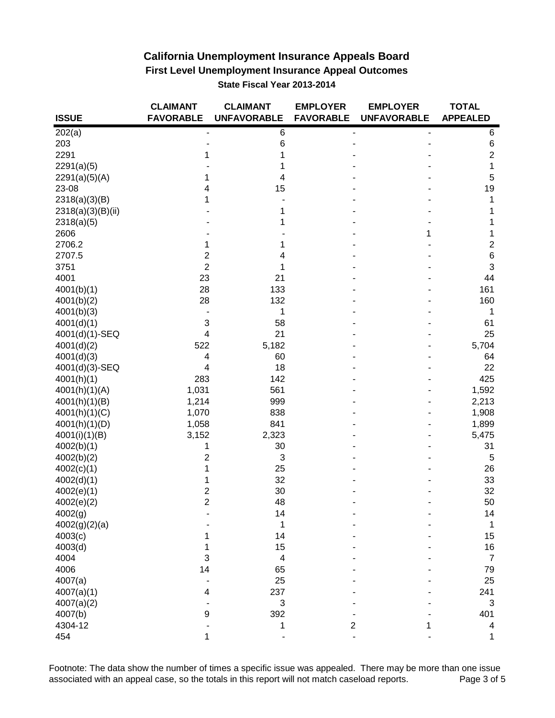|                             | <b>CLAIMANT</b>         | <b>CLAIMANT</b>    | <b>EMPLOYER</b>  | <b>EMPLOYER</b>    | <b>TOTAL</b>    |
|-----------------------------|-------------------------|--------------------|------------------|--------------------|-----------------|
| <b>ISSUE</b>                | <b>FAVORABLE</b>        | <b>UNFAVORABLE</b> | <b>FAVORABLE</b> | <b>UNFAVORABLE</b> | <b>APPEALED</b> |
| 202(a)                      |                         | 6                  |                  |                    | 6               |
| 203                         |                         | $\,$ 6 $\,$        |                  |                    | 6               |
| 2291                        |                         |                    |                  |                    | $\overline{2}$  |
| 2291(a)(5)                  |                         |                    |                  |                    | 1               |
| 2291(a)(5)(A)               | 1                       | 4                  |                  |                    | 5               |
| 23-08                       | 4                       | 15                 |                  |                    | 19              |
| 2318(a)(3)(B)               | 1                       |                    |                  |                    | 1               |
| 2318(a)(3)(B)(ii)           |                         |                    |                  |                    | 1               |
| 2318(a)(5)                  |                         |                    |                  |                    | 1               |
| 2606                        |                         |                    |                  | 1                  | 1               |
| 2706.2                      | 1                       | 1                  |                  |                    | $\overline{2}$  |
| 2707.5                      | $\overline{2}$          | 4                  |                  |                    | 6               |
| 3751                        | $\overline{2}$          | 1                  |                  |                    | 3               |
| 4001                        | 23                      | 21                 |                  |                    | 44              |
| 4001(b)(1)                  | 28                      | 133                |                  |                    | 161             |
| 4001(b)(2)                  | 28                      | 132                |                  |                    | 160             |
| 4001(b)(3)                  |                         | 1                  |                  |                    | 1               |
| 4001(d)(1)                  | $\sqrt{3}$              | 58                 |                  |                    | 61              |
| 4001(d)(1)-SEQ              | $\overline{\mathbf{4}}$ | 21                 |                  |                    | 25              |
| 4001(d)(2)                  | 522                     | 5,182              |                  |                    | 5,704           |
| 4001(d)(3)                  | $\overline{4}$          | 60                 |                  |                    | 64              |
| 4001(d)(3)-SEQ              | $\overline{4}$          | 18                 |                  |                    | 22              |
| 4001(h)(1)                  | 283                     | 142                |                  |                    | 425             |
| 4001(h)(1)(A)               | 1,031                   | 561                |                  |                    | 1,592           |
| 4001(h)(1)(B)               | 1,214                   | 999                |                  |                    | 2,213           |
| 4001(h)(1)(C)               | 1,070                   | 838                |                  |                    | 1,908           |
| 4001(h)(1)(D)               | 1,058                   | 841                |                  |                    | 1,899           |
|                             | 3,152                   | 2,323              |                  |                    | 5,475           |
| 4001(i)(1)(B)<br>4002(b)(1) | 1                       | 30                 |                  |                    | 31              |
| 4002(b)(2)                  | 2                       | 3                  |                  |                    | 5               |
| 4002(c)(1)                  | 1                       | 25                 |                  |                    | 26              |
| 4002(d)(1)                  | 1                       | 32                 |                  |                    | 33              |
| 4002(e)(1)                  | $\overline{c}$          | 30                 |                  |                    | 32              |
| 4002(e)(2)                  | $\overline{2}$          | 48                 |                  |                    | 50              |
| 4002(g)                     |                         | 14                 |                  |                    | 14              |
| 4002(g)(2)(a)               |                         | 1                  |                  |                    | 1               |
| 4003(c)                     |                         | 14                 |                  |                    | 15              |
| 4003(d)                     | 1                       | 15                 |                  |                    | 16              |
| 4004                        | 3                       | 4                  |                  |                    | $\overline{7}$  |
| 4006                        | 14                      | 65                 |                  |                    | 79              |
|                             |                         |                    |                  |                    |                 |
| 4007(a)                     |                         | 25                 |                  |                    | 25              |
| 4007(a)(1)                  | 4                       | 237                |                  |                    | 241             |
| 4007(a)(2)                  |                         | 3                  |                  |                    | 3               |
| 4007(b)                     | $\boldsymbol{9}$        | 392                |                  |                    | 401             |
| 4304-12                     |                         | 1                  | 2                |                    | 4               |
| 454                         | 1                       |                    |                  |                    | 1               |

Footnote: The data show the number of times a specific issue was appealed. There may be more than one issue associated with an appeal case, so the totals in this report will not match caseload reports. Page 3 of 5 associated with an appeal case, so the totals in this report will not match caseload reports.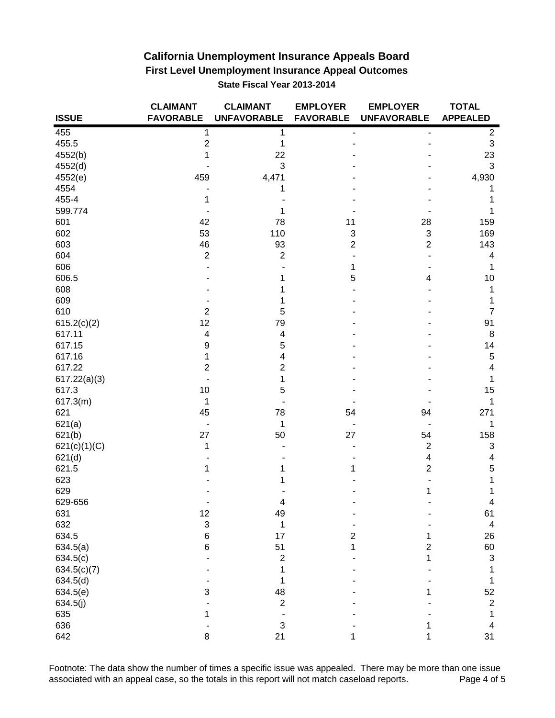|              | <b>CLAIMANT</b>           | <b>CLAIMANT</b>           | <b>EMPLOYER</b>  | <b>EMPLOYER</b>    | <b>TOTAL</b>            |
|--------------|---------------------------|---------------------------|------------------|--------------------|-------------------------|
| <b>ISSUE</b> | <b>FAVORABLE</b>          | <b>UNFAVORABLE</b>        | <b>FAVORABLE</b> | <b>UNFAVORABLE</b> | <b>APPEALED</b>         |
| 455          | 1                         | 1                         |                  |                    | $\overline{\mathbf{c}}$ |
| 455.5        | $\mathbf 2$               | 1                         |                  |                    | $\mathsf 3$             |
| 4552(b)      |                           | 22                        |                  |                    | 23                      |
| 4552(d)      |                           | 3                         |                  |                    | $\mathbf{3}$            |
| 4552(e)      | 459                       | 4,471                     |                  |                    | 4,930                   |
| 4554         |                           | 1                         |                  |                    | 1                       |
| 455-4        | 1                         |                           |                  |                    | 1                       |
| 599.774      |                           | 1                         |                  |                    | 1                       |
| 601          | 42                        | 78                        | 11               | 28                 | 159                     |
| 602          | 53                        | 110                       | 3                | 3                  | 169                     |
| 603          | 46                        | 93                        | $\mathbf 2$      | $\overline{2}$     | 143                     |
| 604          | $\mathbf 2$               | $\overline{c}$            |                  |                    | 4                       |
| 606          |                           |                           | 1                |                    | 1                       |
| 606.5        |                           |                           | 5                | 4                  | 10                      |
| 608          |                           |                           |                  |                    | 1                       |
| 609          |                           |                           |                  |                    | 1                       |
| 610          | $\mathbf 2$               | 5                         |                  |                    | $\overline{7}$          |
| 615.2(c)(2)  | 12                        | 79                        |                  |                    | 91                      |
| 617.11       | $\overline{\mathbf{4}}$   | 4                         |                  |                    | 8                       |
| 617.15       | $\boldsymbol{9}$          | 5                         |                  |                    | 14                      |
| 617.16       | 1                         | 4                         |                  |                    | 5                       |
| 617.22       | $\mathbf 2$               | $\overline{c}$            |                  |                    | $\overline{\mathbf{4}}$ |
| 617.22(a)(3) |                           | 1                         |                  |                    | 1                       |
| 617.3        | 10                        | 5                         |                  |                    | 15                      |
| 617.3(m)     | 1                         |                           |                  |                    | 1                       |
| 621          | 45                        | 78                        | 54               | 94                 | 271                     |
| 621(a)       | $\overline{\phantom{a}}$  | 1                         |                  |                    | 1                       |
| 621(b)       | 27                        | 50                        | 27               | 54                 | 158                     |
| 621(c)(1)(C) | 1                         |                           |                  | $\overline{2}$     | 3                       |
| 621(d)       |                           |                           |                  | 4                  | 4                       |
| 621.5        |                           |                           | 1                | 2                  | 5                       |
| 623          |                           |                           |                  |                    | 1                       |
| 629          |                           |                           |                  |                    | 1                       |
| 629-656      |                           | 4                         |                  |                    | 4                       |
| 631          | 12                        | 49                        |                  |                    | 61                      |
| 632          | $\ensuremath{\mathsf{3}}$ | 1                         |                  |                    | $\overline{4}$          |
| 634.5        | $\,$ 6 $\,$               | 17                        | $\mathbf 2$      | 1                  | 26                      |
| 634.5(a)     | $\,6$                     | 51                        | 1                | $\overline{c}$     | 60                      |
| 634.5(c)     |                           | $\boldsymbol{2}$          |                  | 1                  | $\sqrt{3}$              |
| 634.5(c)(7)  |                           | 1                         |                  |                    | 1                       |
|              |                           | 1                         |                  |                    |                         |
| 634.5(d)     | 3                         | 48                        |                  |                    | 1                       |
| 634.5(e)     |                           | $\overline{2}$            |                  | 1                  | 52                      |
| 634.5(j)     |                           |                           |                  |                    | $\overline{2}$          |
| 635          | 1                         |                           |                  |                    | 1                       |
| 636          |                           | $\ensuremath{\mathsf{3}}$ |                  | 1                  | 4                       |
| 642          | 8                         | 21                        | 1                | 1                  | 31                      |

Footnote: The data show the number of times a specific issue was appealed. There may be more than one issue associated with an appeal case, so the totals in this report will not match caseload reports. Page 4 of 5 associated with an appeal case, so the totals in this report will not match caseload reports.